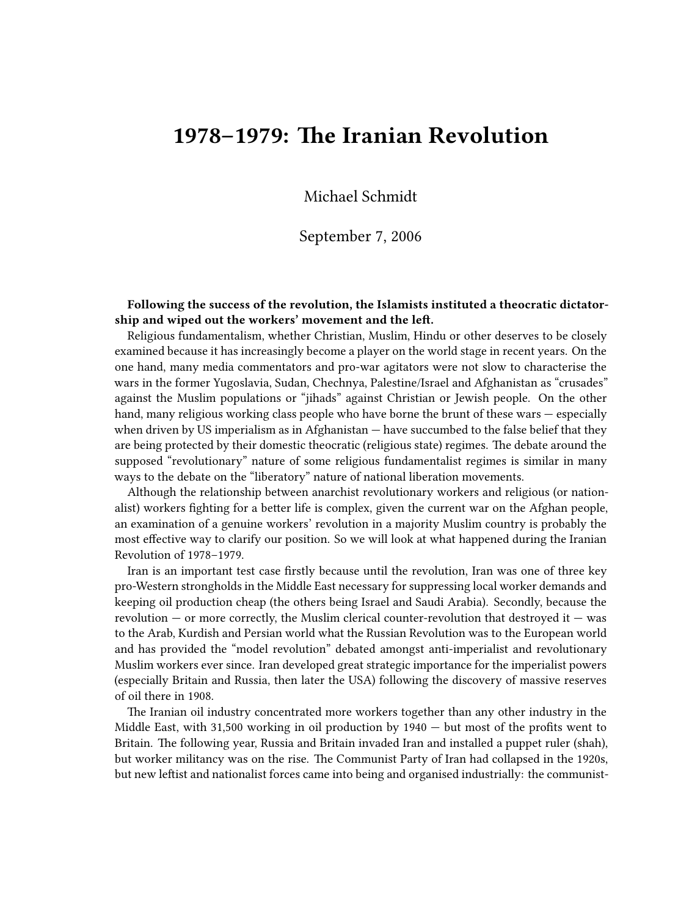## **1978–1979: The Iranian Revolution**

Michael Schmidt

## September 7, 2006

**Following the success of the revolution, the Islamists instituted a theocratic dictatorship and wiped out the workers' movement and the left.**

Religious fundamentalism, whether Christian, Muslim, Hindu or other deserves to be closely examined because it has increasingly become a player on the world stage in recent years. On the one hand, many media commentators and pro-war agitators were not slow to characterise the wars in the former Yugoslavia, Sudan, Chechnya, Palestine/Israel and Afghanistan as "crusades" against the Muslim populations or "jihads" against Christian or Jewish people. On the other hand, many religious working class people who have borne the brunt of these wars — especially when driven by US imperialism as in Afghanistan  $-$  have succumbed to the false belief that they are being protected by their domestic theocratic (religious state) regimes. The debate around the supposed "revolutionary" nature of some religious fundamentalist regimes is similar in many ways to the debate on the "liberatory" nature of national liberation movements.

Although the relationship between anarchist revolutionary workers and religious (or nationalist) workers fighting for a better life is complex, given the current war on the Afghan people, an examination of a genuine workers' revolution in a majority Muslim country is probably the most effective way to clarify our position. So we will look at what happened during the Iranian Revolution of 1978–1979.

Iran is an important test case firstly because until the revolution, Iran was one of three key pro-Western strongholds in the Middle East necessary for suppressing local worker demands and keeping oil production cheap (the others being Israel and Saudi Arabia). Secondly, because the revolution — or more correctly, the Muslim clerical counter-revolution that destroyed it — was to the Arab, Kurdish and Persian world what the Russian Revolution was to the European world and has provided the "model revolution" debated amongst anti-imperialist and revolutionary Muslim workers ever since. Iran developed great strategic importance for the imperialist powers (especially Britain and Russia, then later the USA) following the discovery of massive reserves of oil there in 1908.

The Iranian oil industry concentrated more workers together than any other industry in the Middle East, with 31,500 working in oil production by  $1940 -$  but most of the profits went to Britain. The following year, Russia and Britain invaded Iran and installed a puppet ruler (shah), but worker militancy was on the rise. The Communist Party of Iran had collapsed in the 1920s, but new leftist and nationalist forces came into being and organised industrially: the communist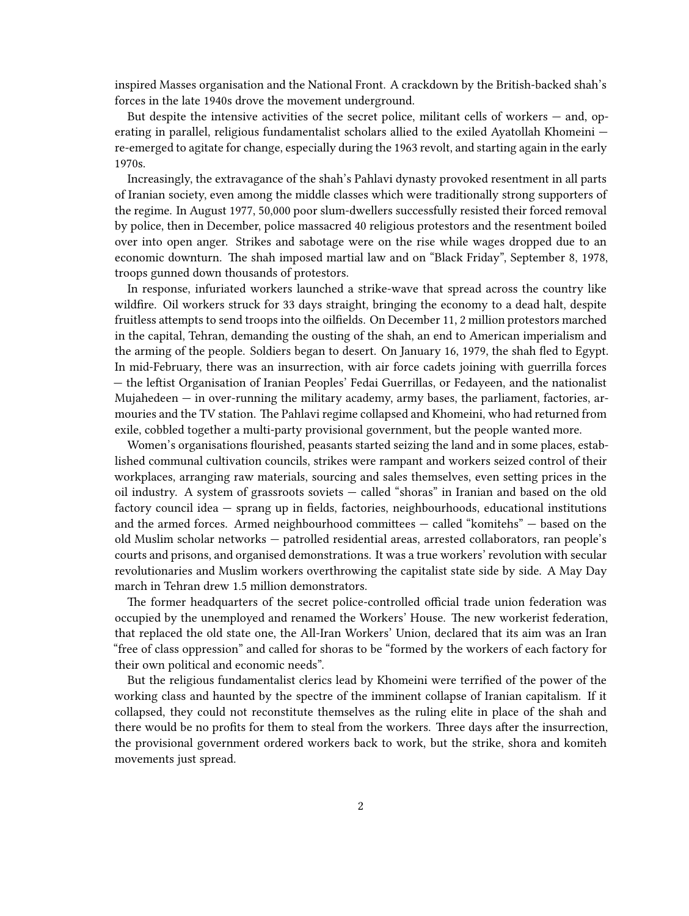inspired Masses organisation and the National Front. A crackdown by the British-backed shah's forces in the late 1940s drove the movement underground.

But despite the intensive activities of the secret police, militant cells of workers  $-$  and, operating in parallel, religious fundamentalist scholars allied to the exiled Ayatollah Khomeini re-emerged to agitate for change, especially during the 1963 revolt, and starting again in the early 1970s.

Increasingly, the extravagance of the shah's Pahlavi dynasty provoked resentment in all parts of Iranian society, even among the middle classes which were traditionally strong supporters of the regime. In August 1977, 50,000 poor slum-dwellers successfully resisted their forced removal by police, then in December, police massacred 40 religious protestors and the resentment boiled over into open anger. Strikes and sabotage were on the rise while wages dropped due to an economic downturn. The shah imposed martial law and on "Black Friday", September 8, 1978, troops gunned down thousands of protestors.

In response, infuriated workers launched a strike-wave that spread across the country like wildfire. Oil workers struck for 33 days straight, bringing the economy to a dead halt, despite fruitless attempts to send troops into the oilfields. On December 11, 2 million protestors marched in the capital, Tehran, demanding the ousting of the shah, an end to American imperialism and the arming of the people. Soldiers began to desert. On January 16, 1979, the shah fled to Egypt. In mid-February, there was an insurrection, with air force cadets joining with guerrilla forces — the leftist Organisation of Iranian Peoples' Fedai Guerrillas, or Fedayeen, and the nationalist Mujahedeen — in over-running the military academy, army bases, the parliament, factories, armouries and the TV station. The Pahlavi regime collapsed and Khomeini, who had returned from exile, cobbled together a multi-party provisional government, but the people wanted more.

Women's organisations flourished, peasants started seizing the land and in some places, established communal cultivation councils, strikes were rampant and workers seized control of their workplaces, arranging raw materials, sourcing and sales themselves, even setting prices in the oil industry. A system of grassroots soviets — called "shoras" in Iranian and based on the old factory council idea — sprang up in fields, factories, neighbourhoods, educational institutions and the armed forces. Armed neighbourhood committees — called "komitehs" — based on the old Muslim scholar networks — patrolled residential areas, arrested collaborators, ran people's courts and prisons, and organised demonstrations. It was a true workers' revolution with secular revolutionaries and Muslim workers overthrowing the capitalist state side by side. A May Day march in Tehran drew 1.5 million demonstrators.

The former headquarters of the secret police-controlled official trade union federation was occupied by the unemployed and renamed the Workers' House. The new workerist federation, that replaced the old state one, the All-Iran Workers' Union, declared that its aim was an Iran "free of class oppression" and called for shoras to be "formed by the workers of each factory for their own political and economic needs".

But the religious fundamentalist clerics lead by Khomeini were terrified of the power of the working class and haunted by the spectre of the imminent collapse of Iranian capitalism. If it collapsed, they could not reconstitute themselves as the ruling elite in place of the shah and there would be no profits for them to steal from the workers. Three days after the insurrection, the provisional government ordered workers back to work, but the strike, shora and komiteh movements just spread.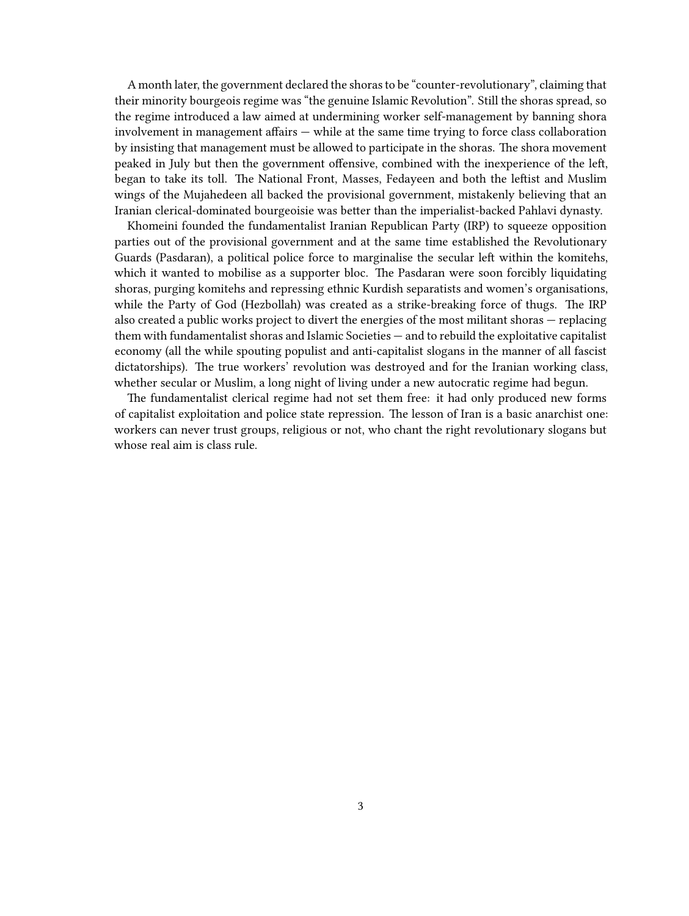A month later, the government declared the shoras to be "counter-revolutionary", claiming that their minority bourgeois regime was "the genuine Islamic Revolution". Still the shoras spread, so the regime introduced a law aimed at undermining worker self-management by banning shora involvement in management affairs — while at the same time trying to force class collaboration by insisting that management must be allowed to participate in the shoras. The shora movement peaked in July but then the government offensive, combined with the inexperience of the left, began to take its toll. The National Front, Masses, Fedayeen and both the leftist and Muslim wings of the Mujahedeen all backed the provisional government, mistakenly believing that an Iranian clerical-dominated bourgeoisie was better than the imperialist-backed Pahlavi dynasty.

Khomeini founded the fundamentalist Iranian Republican Party (IRP) to squeeze opposition parties out of the provisional government and at the same time established the Revolutionary Guards (Pasdaran), a political police force to marginalise the secular left within the komitehs, which it wanted to mobilise as a supporter bloc. The Pasdaran were soon forcibly liquidating shoras, purging komitehs and repressing ethnic Kurdish separatists and women's organisations, while the Party of God (Hezbollah) was created as a strike-breaking force of thugs. The IRP also created a public works project to divert the energies of the most militant shoras — replacing them with fundamentalist shoras and Islamic Societies — and to rebuild the exploitative capitalist economy (all the while spouting populist and anti-capitalist slogans in the manner of all fascist dictatorships). The true workers' revolution was destroyed and for the Iranian working class, whether secular or Muslim, a long night of living under a new autocratic regime had begun.

The fundamentalist clerical regime had not set them free: it had only produced new forms of capitalist exploitation and police state repression. The lesson of Iran is a basic anarchist one: workers can never trust groups, religious or not, who chant the right revolutionary slogans but whose real aim is class rule.